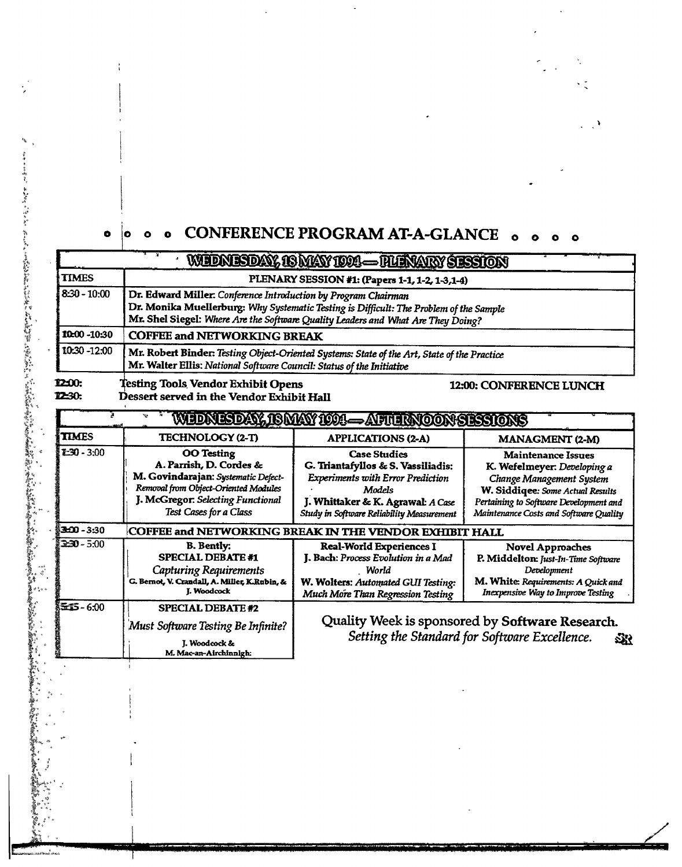## **o o o CONFERENCE PROGRAM AT-A-GLANCE o o o o**   $\bullet$

 $\ddot{\phantom{0}}$ 

 $\mathcal{L}_{\mathcal{A}}$ 

|                                |                                                                                                                                                                                                                                              | WEDNESDAY, 18 MAY 1994 — HURVARY SESSION                                                                                                                                                          |                                                                                                                                                                                                              |  |  |
|--------------------------------|----------------------------------------------------------------------------------------------------------------------------------------------------------------------------------------------------------------------------------------------|---------------------------------------------------------------------------------------------------------------------------------------------------------------------------------------------------|--------------------------------------------------------------------------------------------------------------------------------------------------------------------------------------------------------------|--|--|
| <b>TIMES</b>                   | PLENARY SESSION #1: (Papers 1-1, 1-2, 1-3, 1-4)                                                                                                                                                                                              |                                                                                                                                                                                                   |                                                                                                                                                                                                              |  |  |
| $8:30 - 10:00$                 | Dr. Edward Miller. Conference Introduction by Program Chairman<br>Dr. Monika Muellerburg: Why Systematic Testing is Difficult: The Problem of the Sample<br>Mr. Shel Siegel: Where Are the Software Quality Leaders and What Are They Doing? |                                                                                                                                                                                                   |                                                                                                                                                                                                              |  |  |
| 10:00 -10:30                   | <b>COFFEE and NETWORKING BREAK</b>                                                                                                                                                                                                           |                                                                                                                                                                                                   |                                                                                                                                                                                                              |  |  |
| 10:30 -12:00                   | Mr. Robert Binder: Testing Object-Oriented Systems: State of the Art, State of the Practice<br>Mr. Walter Ellis: National Software Council: Status of the Initiative                                                                         |                                                                                                                                                                                                   |                                                                                                                                                                                                              |  |  |
| <b>12:00:</b><br><b>12-30:</b> | <b>Testing Tools Vendor Exhibit Opens</b><br>Dessert served in the Vendor Exhibit Hall                                                                                                                                                       | WIDNESDAY, ISMAY ION—AFUIRNOON SESSIONS                                                                                                                                                           | <b>12:00: CONFERENCE LUNCH</b>                                                                                                                                                                               |  |  |
| <b>TIMES</b>                   | <b>TECHNOLOGY (2-T)</b>                                                                                                                                                                                                                      | <b>APPLICATIONS (2-A)</b>                                                                                                                                                                         | MANAGMENT (2-M)                                                                                                                                                                                              |  |  |
| $2 - 30 - 3 - 00$              | <b>OO</b> Testing<br>A. Parrish, D. Cordes &<br>M. Govindarajan: Systematic Defect-<br>Removal from Object-Oriented Modules<br>J. McGregor: Selecting Functional<br>Test Cases for a Class                                                   | <b>Case Studies</b><br>G. Triantafyllos & S. Vassiliadis:<br><b>Experiments with Error Prediction</b><br>Models<br>J. Whittaker & K. Agrawal: A Case<br>Study in Software Reliability Measurement | <b>Maintenance Issues</b><br>K. Wefelmeyer: Developing a<br>Change Management System<br>W. Siddiqee: Some Actual Results<br>Pertaining to Software Development and<br>Maintenance Costs and Software Quality |  |  |
| 3200-3230                      | COFFEE and NETWORKING BREAK IN THE VENDOR EXHIBIT HALL                                                                                                                                                                                       |                                                                                                                                                                                                   |                                                                                                                                                                                                              |  |  |
| $330 - 5.00$                   | <b>B.</b> Bently:<br><b>SPECIAL DEBATE#1</b><br>Capturing Requirements<br>G. Bernot, V. Crandall, A. Miller, K.Rubin, &<br><b>I.</b> Woodcock                                                                                                | Real-World Experiences I<br>J. Bach: Process Evolution in a Mad<br>World<br>W. Wolters: Automated GUI Testing:<br>Much More Than Regression Testing                                               | <b>Novel Approaches</b><br>P. Middelton: Just-In-Time Software<br>Development<br>M. White: Requirements: A Quick and<br>Inexpensive Way to Improve Testing                                                   |  |  |
| $55 - 6.00$                    | <b>SPECIAL DEBATE #2</b><br>Must Software Testing Be Infinite?<br>J. Woodcock &<br>M. Mac-an-Airchinnigh:                                                                                                                                    |                                                                                                                                                                                                   | Quality Week is sponsored by Software Research.<br>Setting the Standard for Software Excellence.<br>23                                                                                                       |  |  |

Ŷ.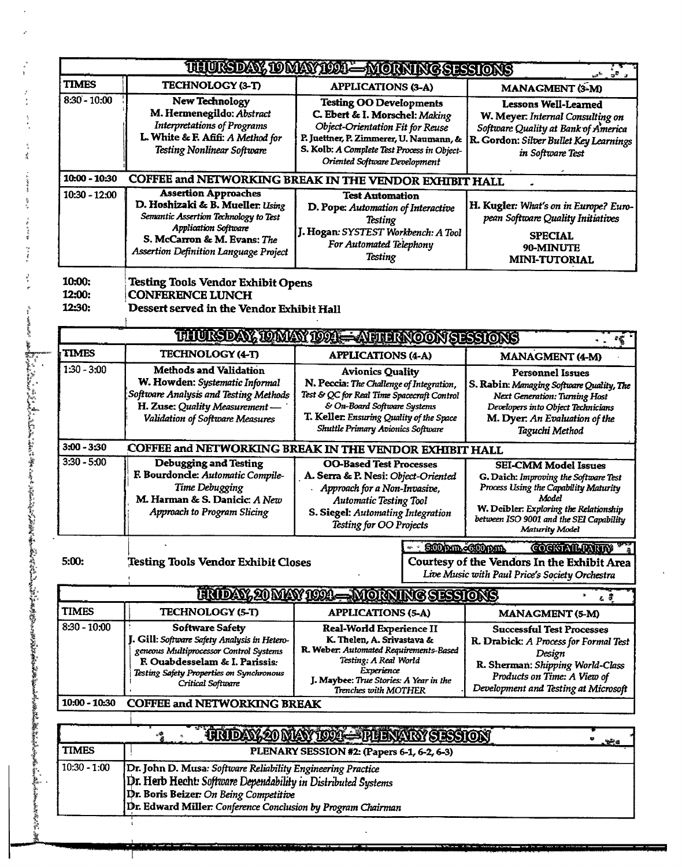|                  |                                                                                                                                                                                                                                        | THURDAY, TO MAY 1998—MORNING SESSIONS                                                                                                                                                                     | டிக்<br>மக்கு∎்                                                                                                                                                                                                                      |  |  |  |
|------------------|----------------------------------------------------------------------------------------------------------------------------------------------------------------------------------------------------------------------------------------|-----------------------------------------------------------------------------------------------------------------------------------------------------------------------------------------------------------|--------------------------------------------------------------------------------------------------------------------------------------------------------------------------------------------------------------------------------------|--|--|--|
| <b>TIMES</b>     | TECHNOLOGY (3-T)                                                                                                                                                                                                                       | <b>APPLICATIONS (3-A)</b>                                                                                                                                                                                 | MANAGMENT (3-M)                                                                                                                                                                                                                      |  |  |  |
| $8:30 - 10:00$   | New Technology<br>M. Hermenegildo: Abstract<br><b>Interpretations of Programs</b><br>L. White & F. Afifi: A Method for                                                                                                                 | <b>Testing OO Developments</b><br>C. Ebert & I. Morschel: Making<br>Object-Orientation Fit for Reuse<br>P. Juettner, P. Zimmerer, U. Naumann, &                                                           | <b>Lessons Well-Learned</b><br>W. Meyer. Internal Consulting on<br>Software Quality at Bank of America<br>R. Gordon: Silver Bullet Key Learnings                                                                                     |  |  |  |
|                  | <b>Testing Nonlinear Software</b>                                                                                                                                                                                                      | S. Kolb: A Complete Test Process in Object-<br>Oriented Software Development                                                                                                                              | in Software Test                                                                                                                                                                                                                     |  |  |  |
| 10:00 - 10:30    |                                                                                                                                                                                                                                        | COFFEE and NETWORKING BREAK IN THE VENDOR EXHIBIT HALL                                                                                                                                                    |                                                                                                                                                                                                                                      |  |  |  |
| $10:30 - 12:00$  | <b>Assertion Approaches</b><br>D. Hoshizaki & B. Mueller: Using<br>Semantic Assertion Technology to Test<br><b>Application Software</b><br>S. McCarron & M. Evans: The                                                                 | <b>Test Automation</b><br>D. Pope: Automation of Interactive<br><b>Testing</b><br>J. Hogan: SYSTEST Workbench: A Tool<br>For Automated Telephony                                                          | H. Kugler: What's on in Europe? Euro-<br>pean Software Quality Initiatives<br><b>SPECIAL</b>                                                                                                                                         |  |  |  |
|                  | <b>Assertion Definition Language Project</b>                                                                                                                                                                                           | <b>Testing</b>                                                                                                                                                                                            | 90-MINUTE<br><b>MINI-TUTORIAL</b>                                                                                                                                                                                                    |  |  |  |
| 10:00:           | <b>Testing Tools Vendor Exhibit Opens</b>                                                                                                                                                                                              |                                                                                                                                                                                                           |                                                                                                                                                                                                                                      |  |  |  |
| 12:00:<br>12:30: | <b>CONFERENCE LUNCH</b><br>Dessert served in the Vendor Exhibit Hall                                                                                                                                                                   |                                                                                                                                                                                                           |                                                                                                                                                                                                                                      |  |  |  |
|                  |                                                                                                                                                                                                                                        | THURSDAY, IQMAY 1994 - AFTHANCON SESSIONS                                                                                                                                                                 | 螺                                                                                                                                                                                                                                    |  |  |  |
| <b>TIMES</b>     | TECHNOLOGY (4-T)                                                                                                                                                                                                                       | <b>APPLICATIONS (4-A)</b>                                                                                                                                                                                 | MANAGMENT (4-M)                                                                                                                                                                                                                      |  |  |  |
| $1:30 - 3:00$    | <b>Methods and Validation</b><br>W. Howden: Systematic Informal<br>Software Analysis and Testing Methods<br>H. Zuse: Quality Measurement-                                                                                              | <b>Avionics Quality</b><br>N. Peccia: The Challenge of Integration,<br>Test & QC for Real Time Spacecraft Control<br>& On-Board Software Systems                                                          | <b>Personnel Issues</b><br>S. Rabin: Managing Software Quality, The<br><b>Next Generation: Turning Host</b><br>Developers into Object Technicians                                                                                    |  |  |  |
|                  | Validation of Software Measures                                                                                                                                                                                                        | T. Keller. Ensuring Quality of the Space<br><b>Shuttle Primary Avionics Software</b>                                                                                                                      | M. Dyer: An Evaluation of the<br>Taguchi Method                                                                                                                                                                                      |  |  |  |
| $3:00 - 3:30$    |                                                                                                                                                                                                                                        | COFFEE and NETWORKING BREAK IN THE VENDOR EXHIBIT HALL                                                                                                                                                    |                                                                                                                                                                                                                                      |  |  |  |
| $3:30 - 5:00$    | <b>Debugging and Testing</b><br>F. Bourdoncle: Automatic Compile-<br>Time Debugging<br>M. Harman & S. Danicic: A New<br><b>Approach to Program Slicing</b>                                                                             | <b>OO-Based Test Processes</b><br>A. Serra & P. Nesi: Object-Oriented<br>Approach for a Non-Invasive,<br><b>Automatic Testing Tool</b><br>S. Siegel: Automating Integration<br>Testing for OO Projects    | <b>SEI-CMM Model Issues</b><br>G. Daich: Improving the Software Test<br>Process Using the Capability Maturity<br>Model<br>W. Deibler: Exploring the Relationship<br>between ISO 9001 and the SEI Capability<br><b>Maturity Model</b> |  |  |  |
| 5:00:            | Testing Tools Vendor Exhibit Closes                                                                                                                                                                                                    | <b>COCKINILIATION</b><br>: SCOPID-0000pm<br>Courtesy of the Vendors In the Exhibit Area<br>Live Music with Paul Price's Society Orchestra                                                                 |                                                                                                                                                                                                                                      |  |  |  |
|                  | <u> UNDAY, 20 MAY 1094–</u>                                                                                                                                                                                                            | - MORNING SESSIONS                                                                                                                                                                                        | 在费                                                                                                                                                                                                                                   |  |  |  |
| <b>TIMES</b>     | TECHNOLOGY (5-T)                                                                                                                                                                                                                       | <b>APPLICATIONS (5-A)</b>                                                                                                                                                                                 | <b>MANAGMENT (5-M)</b>                                                                                                                                                                                                               |  |  |  |
| $8:30 - 10:00$   | <b>Software Safety</b><br>J. Gill: Software Safety Analysis in Hetero-<br>geneous Multiprocessor Control Systems<br>F. Ouabdesselam & I. Parissis:<br>Testing Safety Properties on Synchronous<br>Critical Software                    | Real-World Experience II<br>K. Thelen, A. Srivastava &<br>R. Weber: Automated Requirements-Based<br>Testing: A Real World<br>Experience<br>J. Maybee: True Stories: A Year in the<br>Trenches with MOTHER | <b>Successful Test Processes</b><br>R. Drabick: A Process for Formal Test<br>Design<br>R. Sherman: Shipping World-Class<br>Products on Time: A View of<br>Development and Testing at Microsoft                                       |  |  |  |
| $10:00 - 10:30$  | <b>COFFEE and NETWORKING BREAK</b>                                                                                                                                                                                                     |                                                                                                                                                                                                           |                                                                                                                                                                                                                                      |  |  |  |
|                  |                                                                                                                                                                                                                                        | TRIDAY 20 MAY 1004— PHRYARY SESSION                                                                                                                                                                       | o                                                                                                                                                                                                                                    |  |  |  |
| <b>TIMES</b>     | hEd<br>PLENARY SESSION #2: (Papers 6-1, 6-2, 6-3)                                                                                                                                                                                      |                                                                                                                                                                                                           |                                                                                                                                                                                                                                      |  |  |  |
| $10:30 - 1:00$   | Dr. John D. Musa: Software Reliability Engineering Practice<br>Dr. Herb Hecht: Software Dependability in Distributed Systems<br>Dr. Boris Beizer: On Being Competitive<br>Dr. Edward Miller: Conference Conclusion by Program Chairman |                                                                                                                                                                                                           |                                                                                                                                                                                                                                      |  |  |  |
|                  |                                                                                                                                                                                                                                        |                                                                                                                                                                                                           |                                                                                                                                                                                                                                      |  |  |  |

۲